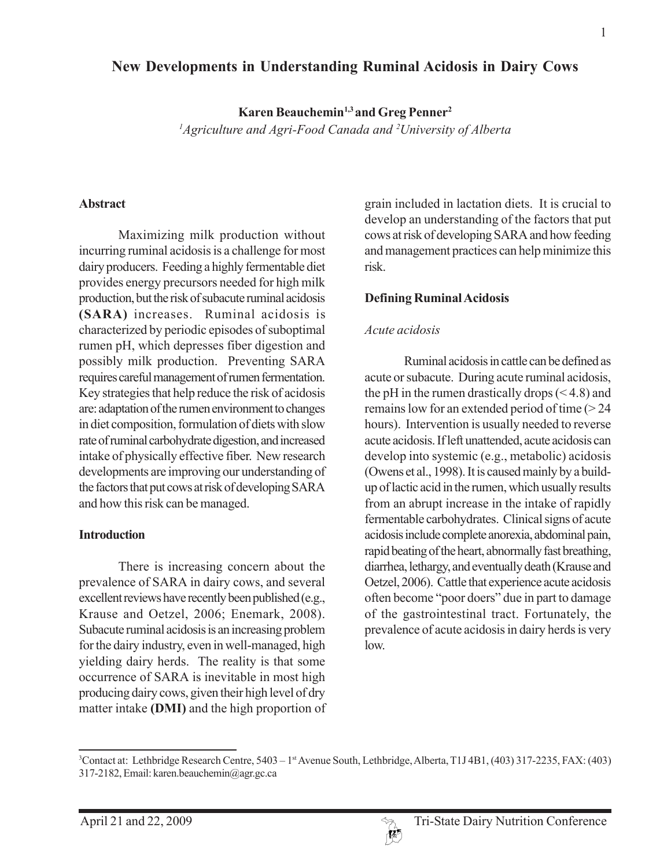## **New Developments in Understanding Ruminal Acidosis in Dairy Cows**

**Karen Beauchemin<sup>1,3</sup> and Greg Penner<sup>2</sup>** 

*1 Agriculture and Agri-Food Canada and 2 University of Alberta*

#### **Abstract**

Maximizing milk production without incurring ruminal acidosis is a challenge for most dairy producers. Feeding a highly fermentable diet provides energy precursors needed for high milk production, but the risk of subacute ruminal acidosis **(SARA)** increases. Ruminal acidosis is characterized by periodic episodes of suboptimal rumen pH, which depresses fiber digestion and possibly milk production. Preventing SARA requires careful management of rumen fermentation. Key strategies that help reduce the risk of acidosis are: adaptation of the rumen environment to changes in diet composition, formulation of diets with slow rate of ruminal carbohydrate digestion, and increased intake of physically effective fiber. New research developments are improving our understanding of the factors that put cows at risk of developing SARA and how this risk can be managed.

#### **Introduction**

There is increasing concern about the prevalence of SARA in dairy cows, and several excellent reviews have recently been published (e.g., Krause and Oetzel, 2006; Enemark, 2008). Subacute ruminal acidosis is an increasing problem for the dairy industry, even in well-managed, high yielding dairy herds. The reality is that some occurrence of SARA is inevitable in most high producing dairy cows, given their high level of dry matter intake **(DMI)** and the high proportion of grain included in lactation diets. It is crucial to develop an understanding of the factors that put cows at risk of developing SARA and how feeding and management practices can help minimize this risk.

### **Defining Ruminal Acidosis**

### *Acute acidosis*

Ruminal acidosis in cattle can be defined as acute or subacute. During acute ruminal acidosis, the pH in the rumen drastically drops  $( $4.8$ )$  and remains low for an extended period of time (> 24 hours). Intervention is usually needed to reverse acute acidosis. If left unattended, acute acidosis can develop into systemic (e.g., metabolic) acidosis (Owens et al., 1998). It is caused mainly by a buildup of lactic acid in the rumen, which usually results from an abrupt increase in the intake of rapidly fermentable carbohydrates. Clinical signs of acute acidosis include complete anorexia, abdominal pain, rapid beating of the heart, abnormally fast breathing, diarrhea, lethargy, and eventually death (Krause and Oetzel, 2006). Cattle that experience acute acidosis often become "poor doers" due in part to damage of the gastrointestinal tract. Fortunately, the prevalence of acute acidosis in dairy herds is very low.



<sup>3</sup> Contact at: Lethbridge Research Centre, 5403 – 1st Avenue South, Lethbridge, Alberta, T1J 4B1, (403) 317-2235, FAX: (403) 317-2182, Email: karen.beauchemin@agr.gc.ca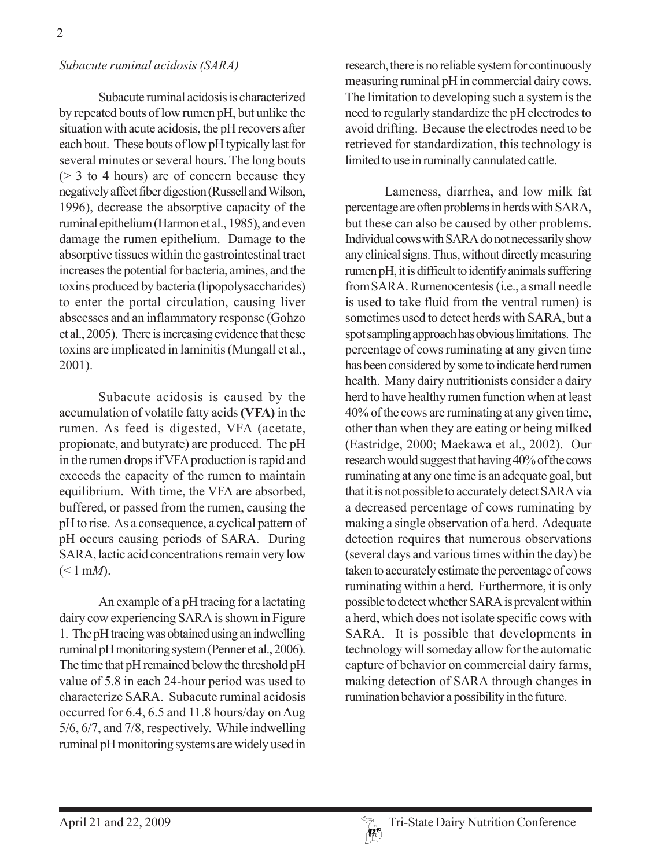#### *Subacute ruminal acidosis (SARA)*

Subacute ruminal acidosis is characterized by repeated bouts of low rumen pH, but unlike the situation with acute acidosis, the pH recovers after each bout. These bouts of low pH typically last for several minutes or several hours. The long bouts  $($  > 3 to 4 hours) are of concern because they negatively affect fiber digestion (Russell and Wilson, 1996), decrease the absorptive capacity of the ruminal epithelium (Harmon et al., 1985), and even damage the rumen epithelium. Damage to the absorptive tissues within the gastrointestinal tract increases the potential for bacteria, amines, and the toxins produced by bacteria (lipopolysaccharides) to enter the portal circulation, causing liver abscesses and an inflammatory response (Gohzo et al., 2005). There is increasing evidence that these toxins are implicated in laminitis (Mungall et al., 2001).

Subacute acidosis is caused by the accumulation of volatile fatty acids **(VFA)** in the rumen. As feed is digested, VFA (acetate, propionate, and butyrate) are produced. The pH in the rumen drops if VFA production is rapid and exceeds the capacity of the rumen to maintain equilibrium. With time, the VFA are absorbed, buffered, or passed from the rumen, causing the pH to rise. As a consequence, a cyclical pattern of pH occurs causing periods of SARA. During SARA, lactic acid concentrations remain very low  $(< 1 \text{ mM}).$ 

An example of a pH tracing for a lactating dairy cow experiencing SARA is shown in Figure 1. The pH tracing was obtained using an indwelling ruminal pH monitoring system (Penner et al., 2006). The time that pH remained below the threshold pH value of 5.8 in each 24-hour period was used to characterize SARA. Subacute ruminal acidosis occurred for 6.4, 6.5 and 11.8 hours/day on Aug 5/6, 6/7, and 7/8, respectively. While indwelling ruminal pH monitoring systems are widely used in research, there is no reliable system for continuously measuring ruminal pH in commercial dairy cows. The limitation to developing such a system is the need to regularly standardize the pH electrodes to avoid drifting. Because the electrodes need to be retrieved for standardization, this technology is limited to use in ruminally cannulated cattle.

Lameness, diarrhea, and low milk fat percentage are often problems in herds with SARA, but these can also be caused by other problems. Individual cows with SARA do not necessarily show any clinical signs. Thus, without directly measuring rumen pH, it is difficult to identify animals suffering fromSARA. Rumenocentesis (i.e., a small needle is used to take fluid from the ventral rumen) is sometimes used to detect herds with SARA, but a spot sampling approach has obvious limitations. The percentage of cows ruminating at any given time has been considered by some to indicate herd rumen health. Many dairy nutritionists consider a dairy herd to have healthy rumen function when at least 40% of the cows are ruminating at any given time, other than when they are eating or being milked (Eastridge, 2000; Maekawa et al., 2002). Our research would suggest that having 40% of the cows ruminating at any one time is an adequate goal, but that it is not possible to accurately detect SARA via a decreased percentage of cows ruminating by making a single observation of a herd. Adequate detection requires that numerous observations (several days and various times within the day) be taken to accurately estimate the percentage of cows ruminating within a herd. Furthermore, it is only possible to detect whether SARA is prevalent within a herd, which does not isolate specific cows with SARA. It is possible that developments in technology will someday allow for the automatic capture of behavior on commercial dairy farms, making detection of SARA through changes in rumination behavior a possibility in the future.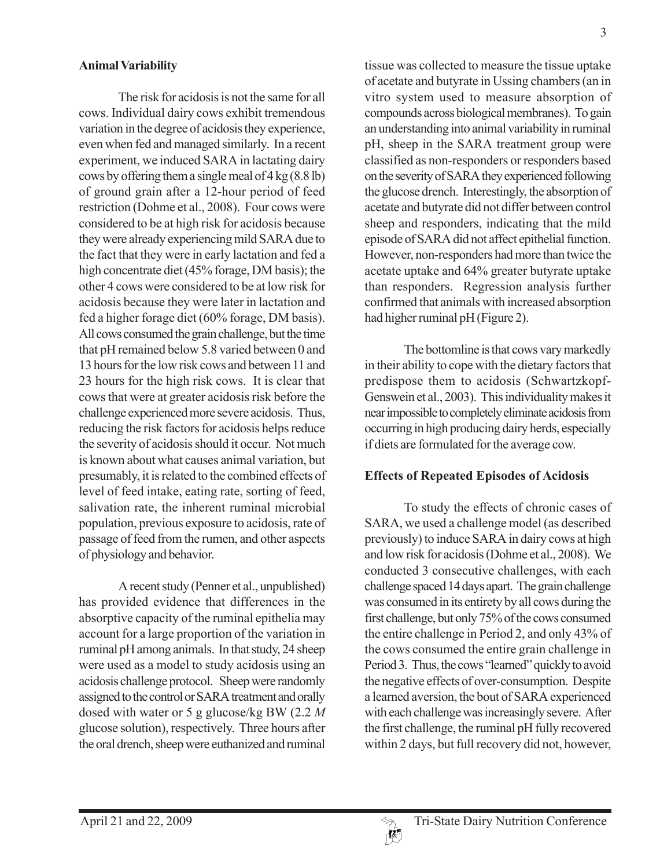### **Animal Variability**

The risk for acidosis is not the same for all cows. Individual dairy cows exhibit tremendous variation in the degree of acidosis they experience, even when fed and managed similarly. In a recent experiment, we induced SARA in lactating dairy cows by offering them a single meal of 4 kg (8.8 lb) of ground grain after a 12-hour period of feed restriction (Dohme et al., 2008). Four cows were considered to be at high risk for acidosis because they were already experiencing mild SARA due to the fact that they were in early lactation and fed a high concentrate diet (45% forage, DM basis); the other 4 cows were considered to be at low risk for acidosis because they were later in lactation and fed a higher forage diet (60% forage, DM basis). All cows consumed the grain challenge, but the time that pH remained below 5.8 varied between 0 and 13 hours for the low risk cows and between 11 and 23 hours for the high risk cows. It is clear that cows that were at greater acidosis risk before the challenge experienced more severe acidosis. Thus, reducing the risk factors for acidosis helps reduce the severity of acidosis should it occur. Not much is known about what causes animal variation, but presumably, it is related to the combined effects of level of feed intake, eating rate, sorting of feed, salivation rate, the inherent ruminal microbial population, previous exposure to acidosis, rate of passage of feed from the rumen, and other aspects of physiology and behavior.

A recent study (Penner et al., unpublished) has provided evidence that differences in the absorptive capacity of the ruminal epithelia may account for a large proportion of the variation in ruminal pH among animals. In that study, 24 sheep were used as a model to study acidosis using an acidosis challenge protocol. Sheep were randomly assigned to the control or SARA treatment and orally dosed with water or 5 g glucose/kg BW (2.2 *M* glucose solution), respectively. Three hours after the oral drench, sheep were euthanized and ruminal

tissue was collected to measure the tissue uptake of acetate and butyrate in Ussing chambers (an in vitro system used to measure absorption of compounds across biological membranes). To gain an understanding into animal variability in ruminal pH, sheep in the SARA treatment group were classified as non-responders or responders based on the severity of SARA they experienced following the glucose drench. Interestingly, the absorption of acetate and butyrate did not differ between control sheep and responders, indicating that the mild episode of SARA did not affect epithelial function. However, non-responders had more than twice the acetate uptake and 64% greater butyrate uptake than responders. Regression analysis further confirmed that animals with increased absorption had higher ruminal pH (Figure 2).

The bottomline is that cows vary markedly in their ability to cope with the dietary factors that predispose them to acidosis (Schwartzkopf-Genswein et al., 2003). This individuality makes it near impossible to completely eliminate acidosis from occurring in high producing dairy herds, especially if diets are formulated for the average cow.

### **Effects of Repeated Episodes of Acidosis**

To study the effects of chronic cases of SARA, we used a challenge model (as described previously) to induce SARA in dairy cows at high and low risk for acidosis (Dohme et al., 2008). We conducted 3 consecutive challenges, with each challenge spaced 14 days apart. The grain challenge was consumed in its entirety by all cows during the first challenge, but only 75% of the cows consumed the entire challenge in Period 2, and only 43% of the cows consumed the entire grain challenge in Period 3. Thus, the cows "learned" quickly to avoid the negative effects of over-consumption. Despite a learned aversion, the bout of SARA experienced with each challenge was increasingly severe. After the first challenge, the ruminal pH fully recovered within 2 days, but full recovery did not, however,

3

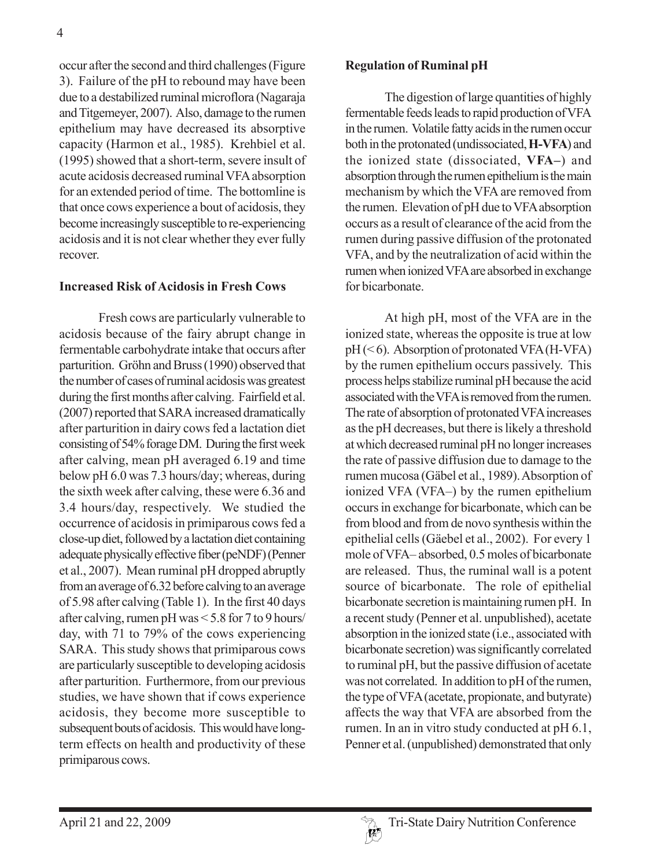occur after the second and third challenges (Figure 3). Failure of the pH to rebound may have been due to a destabilized ruminal microflora (Nagaraja and Titgemeyer, 2007). Also, damage to the rumen epithelium may have decreased its absorptive capacity (Harmon et al., 1985). Krehbiel et al. (1995) showed that a short-term, severe insult of acute acidosis decreased ruminal VFA absorption for an extended period of time. The bottomline is that once cows experience a bout of acidosis, they become increasingly susceptible to re-experiencing acidosis and it is not clear whether they ever fully recover.

#### **Increased Risk of Acidosis in Fresh Cows**

Fresh cows are particularly vulnerable to acidosis because of the fairy abrupt change in fermentable carbohydrate intake that occurs after parturition. Gröhn and Bruss (1990) observed that the number of cases of ruminal acidosis was greatest during the first months after calving. Fairfield et al. (2007) reported that SARA increased dramatically after parturition in dairy cows fed a lactation diet consisting of 54% forage DM. During the first week after calving, mean pH averaged 6.19 and time below pH 6.0 was 7.3 hours/day; whereas, during the sixth week after calving, these were 6.36 and 3.4 hours/day, respectively. We studied the occurrence of acidosis in primiparous cows fed a close-up diet, followed by a lactation diet containing adequate physically effective fiber (peNDF) (Penner et al., 2007). Mean ruminal pH dropped abruptly from an average of 6.32 before calving to an average of 5.98 after calving (Table 1). In the first 40 days after calving, rumen pH was < 5.8 for 7 to 9 hours/ day, with 71 to 79% of the cows experiencing SARA. This study shows that primiparous cows are particularly susceptible to developing acidosis after parturition. Furthermore, from our previous studies, we have shown that if cows experience acidosis, they become more susceptible to subsequent bouts of acidosis. This would have longterm effects on health and productivity of these primiparous cows.

#### **Regulation of Ruminal pH**

The digestion of large quantities of highly fermentable feeds leads to rapid production of VFA in the rumen. Volatile fatty acids in the rumen occur both in the protonated (undissociated, **H-VFA**) and the ionized state (dissociated, **VFA–**) and absorption through the rumen epithelium is the main mechanism by which the VFA are removed from the rumen. Elevation of pH due to VFA absorption occurs as a result of clearance of the acid from the rumen during passive diffusion of the protonated VFA, and by the neutralization of acid within the rumen when ionized VFA are absorbed in exchange for bicarbonate.

At high pH, most of the VFA are in the ionized state, whereas the opposite is true at low pH (< 6). Absorption of protonated VFA (H-VFA) by the rumen epithelium occurs passively. This process helps stabilize ruminal pH because the acid associated with the VFA is removed from the rumen. The rate of absorption of protonated VFA increases as the pH decreases, but there is likely a threshold at which decreased ruminal pH no longer increases the rate of passive diffusion due to damage to the rumen mucosa (Gäbel et al., 1989). Absorption of ionized VFA (VFA–) by the rumen epithelium occurs in exchange for bicarbonate, which can be from blood and from de novo synthesis within the epithelial cells (Gäebel et al., 2002). For every 1 mole of VFA– absorbed, 0.5 moles of bicarbonate are released. Thus, the ruminal wall is a potent source of bicarbonate. The role of epithelial bicarbonate secretion is maintaining rumen pH. In a recent study (Penner et al. unpublished), acetate absorption in the ionized state (i.e., associated with bicarbonate secretion) was significantly correlated to ruminal pH, but the passive diffusion of acetate was not correlated. In addition to pH of the rumen, the type of VFA (acetate, propionate, and butyrate) affects the way that VFA are absorbed from the rumen. In an in vitro study conducted at pH 6.1, Penner et al. (unpublished) demonstrated that only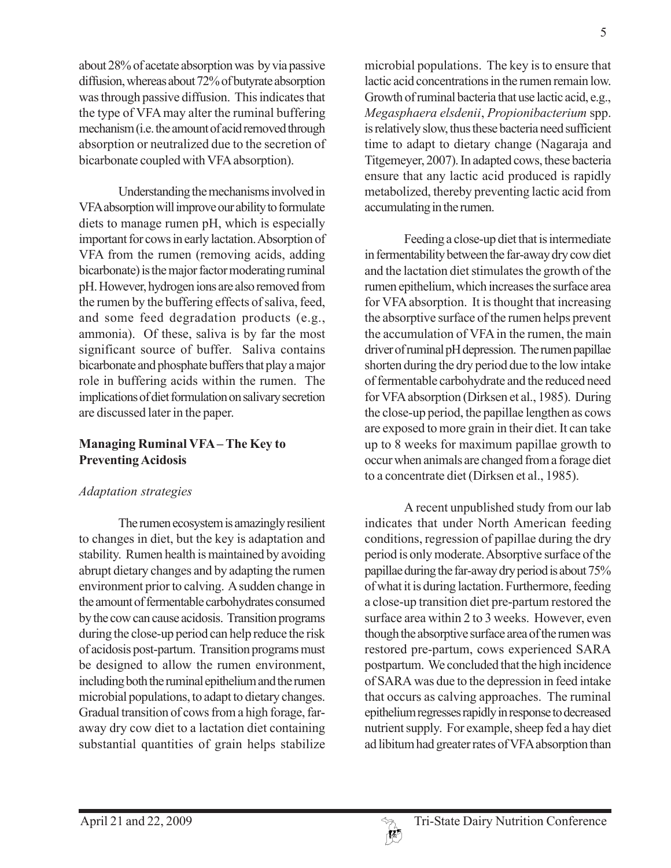about 28% of acetate absorption was by via passive diffusion, whereas about 72% of butyrate absorption was through passive diffusion. This indicates that the type of VFA may alter the ruminal buffering mechanism (i.e. the amount of acid removed through absorption or neutralized due to the secretion of bicarbonate coupled with VFA absorption).

Understanding the mechanisms involved in VFA absorption will improve our ability to formulate diets to manage rumen pH, which is especially important for cows in early lactation. Absorption of VFA from the rumen (removing acids, adding bicarbonate) is the major factor moderating ruminal pH. However, hydrogen ions are also removed from the rumen by the buffering effects of saliva, feed, and some feed degradation products (e.g., ammonia). Of these, saliva is by far the most significant source of buffer. Saliva contains bicarbonate and phosphate buffers that play a major role in buffering acids within the rumen. The implications of diet formulation on salivary secretion are discussed later in the paper.

### **Managing Ruminal VFA – The Key to Preventing Acidosis**

## *Adaptation strategies*

The rumen ecosystem is amazingly resilient to changes in diet, but the key is adaptation and stability. Rumen health is maintained by avoiding abrupt dietary changes and by adapting the rumen environment prior to calving. A sudden change in the amount of fermentable carbohydrates consumed by the cow can cause acidosis. Transition programs during the close-up period can help reduce the risk of acidosis post-partum. Transition programs must be designed to allow the rumen environment, including both the ruminal epithelium and the rumen microbial populations, to adapt to dietary changes. Gradual transition of cows from a high forage, faraway dry cow diet to a lactation diet containing substantial quantities of grain helps stabilize

microbial populations. The key is to ensure that lactic acid concentrations in the rumen remain low. Growth of ruminal bacteria that use lactic acid, e.g., *Megasphaera elsdenii*, *Propionibacterium* spp. is relatively slow, thus these bacteria need sufficient time to adapt to dietary change (Nagaraja and Titgemeyer, 2007). In adapted cows, these bacteria ensure that any lactic acid produced is rapidly metabolized, thereby preventing lactic acid from accumulating in the rumen.

Feeding a close-up diet that is intermediate in fermentability between the far-away dry cow diet and the lactation diet stimulates the growth of the rumen epithelium, which increases the surface area for VFA absorption. It is thought that increasing the absorptive surface of the rumen helps prevent the accumulation of VFA in the rumen, the main driver of ruminal pH depression. The rumen papillae shorten during the dry period due to the low intake of fermentable carbohydrate and the reduced need for VFA absorption (Dirksen et al., 1985). During the close-up period, the papillae lengthen as cows are exposed to more grain in their diet. It can take up to 8 weeks for maximum papillae growth to occur when animals are changed from a forage diet to a concentrate diet (Dirksen et al., 1985).

A recent unpublished study from our lab indicates that under North American feeding conditions, regression of papillae during the dry period is only moderate. Absorptive surface of the papillae during the far-away dry period is about 75% of what it is during lactation. Furthermore, feeding a close-up transition diet pre-partum restored the surface area within 2 to 3 weeks. However, even though the absorptive surface area of the rumen was restored pre-partum, cows experienced SARA postpartum. We concluded that the high incidence of SARA was due to the depression in feed intake that occurs as calving approaches. The ruminal epithelium regresses rapidly in response to decreased nutrient supply. For example, sheep fed a hay diet ad libitum had greater rates of VFA absorption than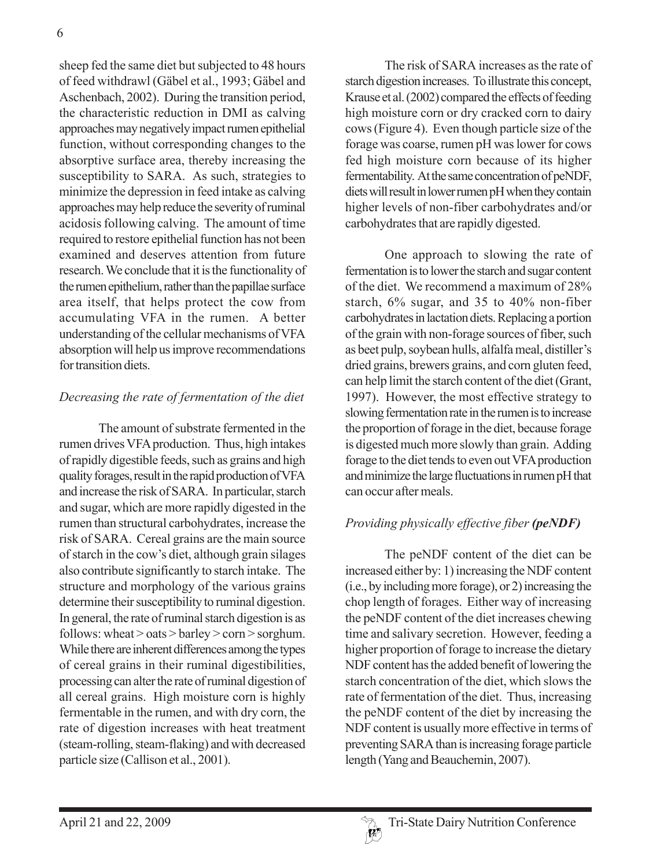sheep fed the same diet but subjected to 48 hours of feed withdrawl (Gäbel et al., 1993; Gäbel and Aschenbach, 2002). During the transition period, the characteristic reduction in DMI as calving approaches may negatively impact rumen epithelial function, without corresponding changes to the absorptive surface area, thereby increasing the susceptibility to SARA. As such, strategies to minimize the depression in feed intake as calving approaches may help reduce the severity of ruminal acidosis following calving. The amount of time required to restore epithelial function has not been examined and deserves attention from future research. We conclude that it is the functionality of the rumen epithelium, rather than the papillae surface area itself, that helps protect the cow from accumulating VFA in the rumen. A better understanding of the cellular mechanisms of VFA absorption will help us improve recommendations for transition diets.

### *Decreasing the rate of fermentation of the diet*

The amount of substrate fermented in the rumen drives VFA production. Thus, high intakes of rapidly digestible feeds, such as grains and high quality forages, result in the rapid production of VFA and increase the risk of SARA. In particular, starch and sugar, which are more rapidly digested in the rumen than structural carbohydrates, increase the risk of SARA. Cereal grains are the main source of starch in the cow's diet, although grain silages also contribute significantly to starch intake. The structure and morphology of the various grains determine their susceptibility to ruminal digestion. In general, the rate of ruminal starch digestion is as follows: wheat  $>$  oats  $>$  barley  $>$  corn  $>$  sorghum. While there are inherent differences among the types of cereal grains in their ruminal digestibilities, processing can alter the rate of ruminal digestion of all cereal grains. High moisture corn is highly fermentable in the rumen, and with dry corn, the rate of digestion increases with heat treatment (steam-rolling, steam-flaking) and with decreased particle size (Callison et al., 2001).

The risk of SARA increases as the rate of starch digestion increases. To illustrate this concept, Krause et al. (2002) compared the effects of feeding high moisture corn or dry cracked corn to dairy cows (Figure 4). Even though particle size of the forage was coarse, rumen pH was lower for cows fed high moisture corn because of its higher fermentability. At the same concentration of peNDF, diets will result in lower rumen pH when they contain higher levels of non-fiber carbohydrates and/or carbohydrates that are rapidly digested.

One approach to slowing the rate of fermentation is to lower the starch and sugar content of the diet. We recommend a maximum of 28% starch, 6% sugar, and 35 to 40% non-fiber carbohydrates in lactation diets. Replacing a portion of the grain with non-forage sources of fiber, such as beet pulp, soybean hulls, alfalfa meal, distiller's dried grains, brewers grains, and corn gluten feed, can help limit the starch content of the diet (Grant, 1997). However, the most effective strategy to slowing fermentation rate in the rumen is to increase the proportion of forage in the diet, because forage is digested much more slowly than grain. Adding forage to the diet tends to even out VFA production and minimize the large fluctuations in rumen pH that can occur after meals.

# *Providing physically effective fiber (peNDF)*

The peNDF content of the diet can be increased either by: 1) increasing the NDF content (i.e., by including more forage), or 2) increasing the chop length of forages. Either way of increasing the peNDF content of the diet increases chewing time and salivary secretion. However, feeding a higher proportion of forage to increase the dietary NDF content has the added benefit of lowering the starch concentration of the diet, which slows the rate of fermentation of the diet. Thus, increasing the peNDF content of the diet by increasing the NDF content is usually more effective in terms of preventing SARA than is increasing forage particle length (Yang and Beauchemin, 2007).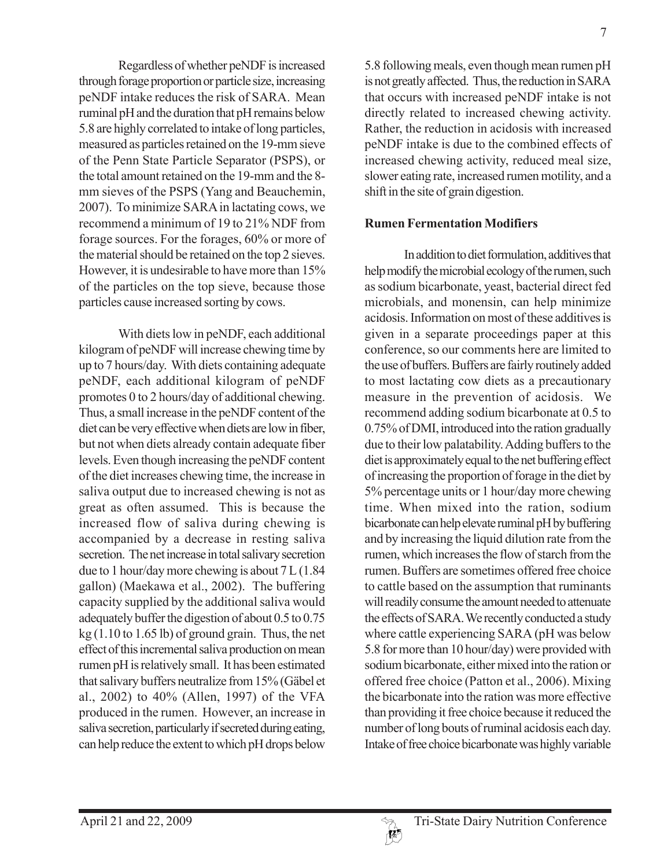Regardless of whether peNDF is increased through forage proportion or particle size, increasing peNDF intake reduces the risk of SARA. Mean ruminal pH and the duration that pH remains below 5.8 are highly correlated to intake of long particles, measured as particles retained on the 19-mm sieve of the Penn State Particle Separator (PSPS), or the total amount retained on the 19-mm and the 8 mm sieves of the PSPS (Yang and Beauchemin, 2007). To minimize SARA in lactating cows, we recommend a minimum of 19 to 21% NDF from forage sources. For the forages, 60% or more of the material should be retained on the top 2 sieves. However, it is undesirable to have more than 15% of the particles on the top sieve, because those particles cause increased sorting by cows.

With diets low in peNDF, each additional kilogram of peNDF will increase chewing time by up to 7 hours/day. With diets containing adequate peNDF, each additional kilogram of peNDF promotes 0 to 2 hours/day of additional chewing. Thus, a small increase in the peNDF content of the diet can be very effective when diets are low in fiber, but not when diets already contain adequate fiber levels. Even though increasing the peNDF content of the diet increases chewing time, the increase in saliva output due to increased chewing is not as great as often assumed. This is because the increased flow of saliva during chewing is accompanied by a decrease in resting saliva secretion. The net increase in total salivary secretion due to 1 hour/day more chewing is about 7 L (1.84 gallon) (Maekawa et al., 2002). The buffering capacity supplied by the additional saliva would adequately buffer the digestion of about 0.5 to 0.75  $kg(1.10 to 1.65 lb)$  of ground grain. Thus, the net effect of this incremental saliva production on mean rumen pH is relatively small. It has been estimated that salivary buffers neutralize from 15% (Gäbel et al., 2002) to 40% (Allen, 1997) of the VFA produced in the rumen. However, an increase in saliva secretion, particularly if secreted during eating, can help reduce the extent to which pH drops below

5.8 following meals, even though mean rumen pH is not greatly affected. Thus, the reduction in SARA that occurs with increased peNDF intake is not directly related to increased chewing activity. Rather, the reduction in acidosis with increased peNDF intake is due to the combined effects of increased chewing activity, reduced meal size, slower eating rate, increased rumen motility, and a shift in the site of grain digestion.

### **Rumen Fermentation Modifiers**

In addition to diet formulation, additives that help modify the microbial ecology of the rumen, such as sodium bicarbonate, yeast, bacterial direct fed microbials, and monensin, can help minimize acidosis. Information on most of these additives is given in a separate proceedings paper at this conference, so our comments here are limited to the use of buffers. Buffers are fairly routinely added to most lactating cow diets as a precautionary measure in the prevention of acidosis. We recommend adding sodium bicarbonate at 0.5 to 0.75% of DMI, introduced into the ration gradually due to their low palatability. Adding buffers to the diet is approximately equal to the net buffering effect of increasing the proportion of forage in the diet by 5% percentage units or 1 hour/day more chewing time. When mixed into the ration, sodium bicarbonate can help elevate ruminal pH by buffering and by increasing the liquid dilution rate from the rumen, which increases the flow of starch from the rumen. Buffers are sometimes offered free choice to cattle based on the assumption that ruminants will readily consume the amount needed to attenuate the effects of SARA. We recently conducted a study where cattle experiencing SARA (pH was below 5.8 for more than 10 hour/day) were provided with sodium bicarbonate, either mixed into the ration or offered free choice (Patton et al., 2006). Mixing the bicarbonate into the ration was more effective than providing it free choice because it reduced the number of long bouts of ruminal acidosis each day. Intake of free choice bicarbonate was highly variable

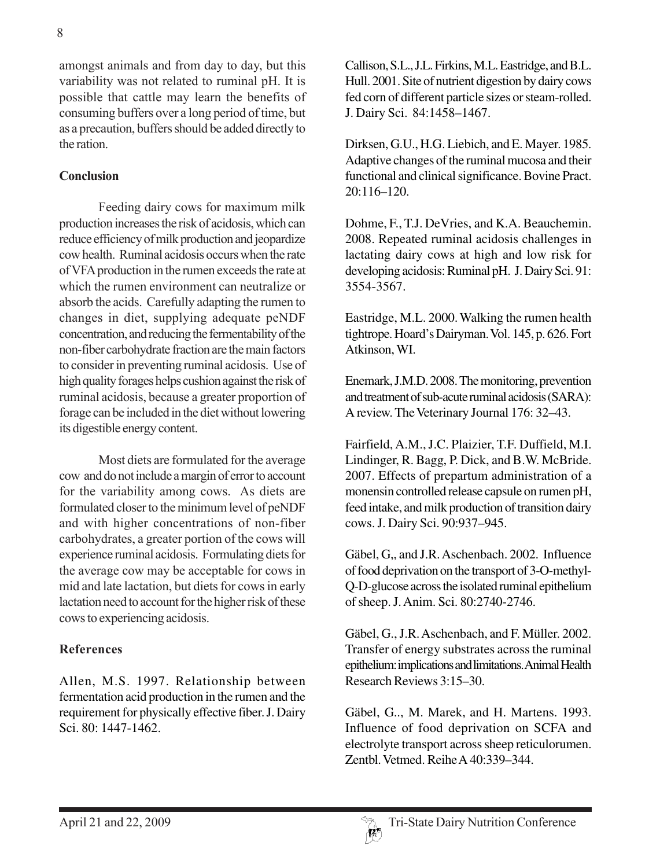amongst animals and from day to day, but this variability was not related to ruminal pH. It is possible that cattle may learn the benefits of consuming buffers over a long period of time, but as a precaution, buffers should be added directly to the ration.

### **Conclusion**

Feeding dairy cows for maximum milk production increases the risk of acidosis, which can reduce efficiency of milk production and jeopardize cow health. Ruminal acidosis occurs when the rate of VFA production in the rumen exceeds the rate at which the rumen environment can neutralize or absorb the acids. Carefully adapting the rumen to changes in diet, supplying adequate peNDF concentration, and reducing the fermentability of the non-fiber carbohydrate fraction are the main factors to consider in preventing ruminal acidosis. Use of high quality forages helps cushion against the risk of ruminal acidosis, because a greater proportion of forage can be included in the diet without lowering its digestible energy content.

Most diets are formulated for the average cow and do not include a margin of error to account for the variability among cows. As diets are formulated closer to the minimum level of peNDF and with higher concentrations of non-fiber carbohydrates, a greater portion of the cows will experience ruminal acidosis. Formulating diets for the average cow may be acceptable for cows in mid and late lactation, but diets for cows in early lactation need to account for the higher risk of these cows to experiencing acidosis.

#### **References**

Allen, M.S. 1997. Relationship between fermentation acid production in the rumen and the requirement for physically effective fiber. J. Dairy Sci. 80: 1447-1462.

Callison, S.L., J.L. Firkins, M.L. Eastridge, and B.L. Hull. 2001. Site of nutrient digestion by dairy cows fed corn of different particle sizes or steam-rolled. J. Dairy Sci. 84:1458–1467.

Dirksen, G.U., H.G. Liebich, and E. Mayer. 1985. Adaptive changes of the ruminal mucosa and their functional and clinical significance. Bovine Pract.  $20:116-120.$ 

Dohme, F., T.J. DeVries, and K.A. Beauchemin. 2008. Repeated ruminal acidosis challenges in lactating dairy cows at high and low risk for developing acidosis: Ruminal pH. J. Dairy Sci. 91: 3554-3567.

Eastridge, M.L. 2000. Walking the rumen health tightrope. Hoard's Dairyman. Vol. 145, p. 626. Fort Atkinson, WI.

Enemark, J.M.D. 2008. The monitoring, prevention and treatment of sub-acute ruminal acidosis (SARA): A review. The Veterinary Journal 176: 32–43.

Fairfield, A.M., J.C. Plaizier, T.F. Duffield, M.I. Lindinger, R. Bagg, P. Dick, and B.W. McBride. 2007. Effects of prepartum administration of a monensin controlled release capsule on rumen pH, feed intake, and milk production of transition dairy cows. J. Dairy Sci. 90:937–945.

Gäbel, G,, and J.R. Aschenbach. 2002. Influence of food deprivation on the transport of 3-O-methyl-Q-D-glucose across the isolated ruminal epithelium of sheep. J. Anim. Sci. 80:2740-2746.

Gäbel, G., J.R. Aschenbach, and F. Müller. 2002. Transfer of energy substrates across the ruminal epithelium: implications and limitations. Animal Health Research Reviews 3:15–30.

Gäbel, G.., M. Marek, and H. Martens. 1993. Influence of food deprivation on SCFA and electrolyte transport across sheep reticulorumen. Zentbl. Vetmed. Reihe A 40:339–344.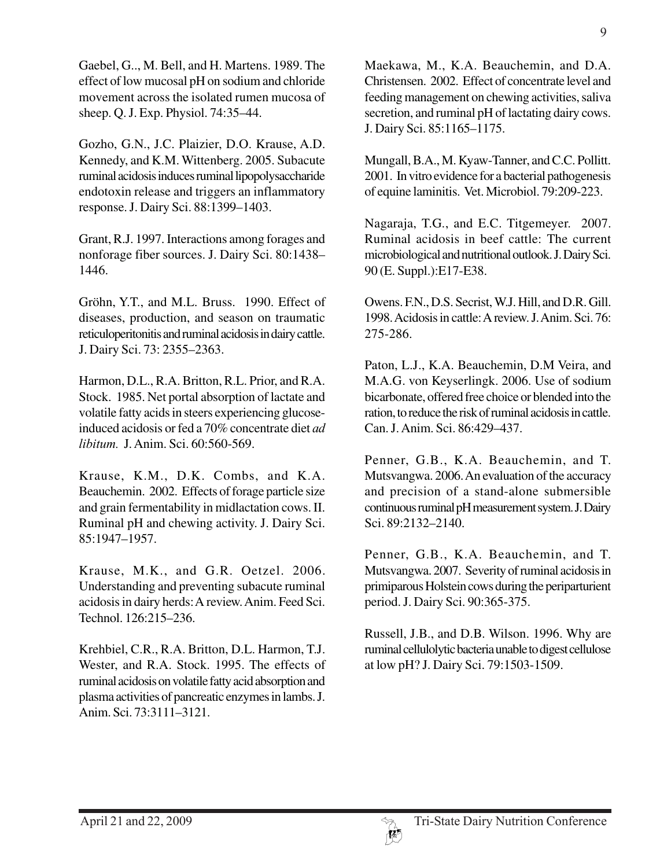Gaebel, G.., M. Bell, and H. Martens. 1989. The effect of low mucosal pH on sodium and chloride movement across the isolated rumen mucosa of sheep. Q. J. Exp. Physiol. 74:35–44.

Gozho, G.N., J.C. Plaizier, D.O. Krause, A.D. Kennedy, and K.M. Wittenberg. 2005. Subacute ruminal acidosis induces ruminal lipopolysaccharide endotoxin release and triggers an inflammatory response. J. Dairy Sci. 88:1399–1403.

Grant, R.J. 1997. Interactions among forages and nonforage fiber sources. J. Dairy Sci. 80:1438– 1446.

Gröhn, Y.T., and M.L. Bruss. 1990. Effect of diseases, production, and season on traumatic reticuloperitonitis and ruminal acidosis in dairy cattle. J. Dairy Sci. 73: 2355–2363.

Harmon, D.L., R.A. Britton, R.L. Prior, and R.A. Stock. 1985. Net portal absorption of lactate and volatile fatty acids in steers experiencing glucoseinduced acidosis or fed a 70% concentrate diet *ad libitum.* J. Anim. Sci. 60:560-569.

Krause, K.M., D.K. Combs, and K.A. Beauchemin. 2002. Effects of forage particle size and grain fermentability in midlactation cows. II. Ruminal pH and chewing activity. J. Dairy Sci. 85:1947–1957.

Krause, M.K., and G.R. Oetzel. 2006. Understanding and preventing subacute ruminal acidosis in dairy herds: A review. Anim. Feed Sci. Technol. 126:215–236.

Krehbiel, C.R., R.A. Britton, D.L. Harmon, T.J. Wester, and R.A. Stock. 1995. The effects of ruminal acidosis on volatile fatty acid absorption and plasma activities of pancreatic enzymes in lambs. J. Anim. Sci. 73:3111–3121.

Maekawa, M., K.A. Beauchemin, and D.A. Christensen. 2002. Effect of concentrate level and feeding management on chewing activities, saliva secretion, and ruminal pH of lactating dairy cows. J. Dairy Sci. 85:1165–1175.

Mungall, B.A., M. Kyaw-Tanner, and C.C. Pollitt. 2001. In vitro evidence for a bacterial pathogenesis of equine laminitis. Vet. Microbiol. 79:209-223.

Nagaraja, T.G., and E.C. Titgemeyer. 2007. Ruminal acidosis in beef cattle: The current microbiological and nutritional outlook. J. Dairy Sci. 90 (E. Suppl.):E17-E38.

Owens. F.N., D.S. Secrist, W.J. Hill, and D.R. Gill. 1998. Acidosis in cattle: A review. J. Anim. Sci. 76: 275-286.

Paton, L.J., K.A. Beauchemin, D.M Veira, and M.A.G. von Keyserlingk. 2006. Use of sodium bicarbonate, offered free choice or blended into the ration, to reduce the risk of ruminal acidosis in cattle. Can. J. Anim. Sci. 86:429–437.

Penner, G.B., K.A. Beauchemin, and T. Mutsvangwa. 2006. An evaluation of the accuracy and precision of a stand-alone submersible continuous ruminal pH measurement system. J. Dairy Sci. 89:2132–2140.

Penner, G.B., K.A. Beauchemin, and T. Mutsvangwa. 2007. Severity of ruminal acidosis in primiparous Holstein cows during the periparturient period. J. Dairy Sci. 90:365-375.

Russell, J.B., and D.B. Wilson. 1996. Why are ruminal cellulolytic bacteria unable to digest cellulose at low pH? J. Dairy Sci. 79:1503-1509.

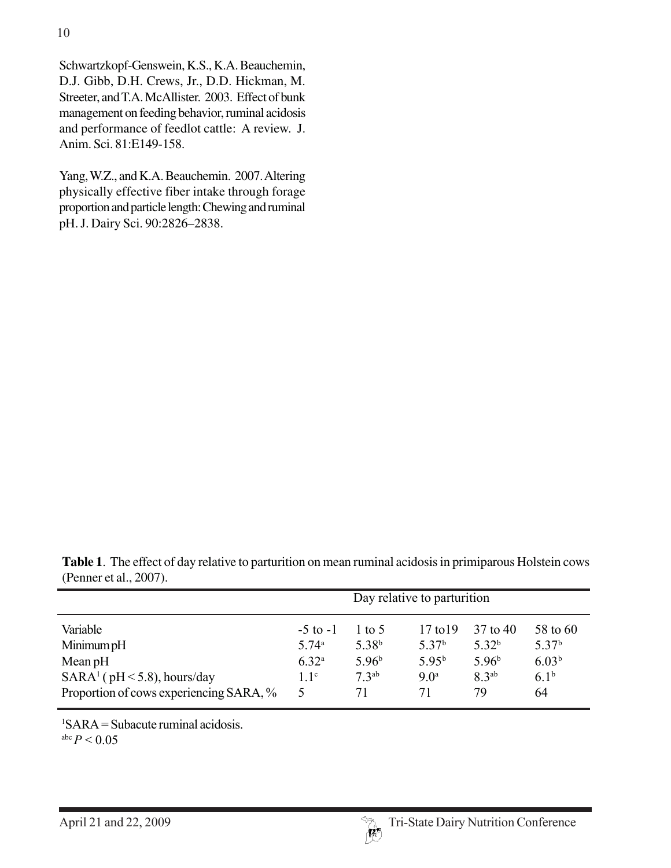Schwartzkopf-Genswein, K.S., K.A. Beauchemin, D.J. Gibb, D.H. Crews, Jr., D.D. Hickman, M. Streeter, and T.A. McAllister. 2003. Effect of bunk management on feeding behavior, ruminal acidosis and performance of feedlot cattle: A review. J. Anim. Sci. 81:E149-158.

Yang, W.Z., and K.A. Beauchemin. 2007. Altering physically effective fiber intake through forage proportion and particle length: Chewing and ruminal pH. J. Dairy Sci. 90:2826–2838.

**Table 1**. The effect of day relative to parturition on mean ruminal acidosis in primiparous Holstein cows (Penner et al., 2007).

|                                                                          | Day relative to parturition     |                             |                                   |                         |                               |
|--------------------------------------------------------------------------|---------------------------------|-----------------------------|-----------------------------------|-------------------------|-------------------------------|
| Variable                                                                 | $-5$ to $-1$                    | 1 to 5<br>5.38 <sup>b</sup> | $17$ to $19$<br>5.37 <sup>b</sup> | 37 to 40<br>$5.32^{b}$  | 58 to 60<br>5.37 <sup>b</sup> |
| Minimum pH<br>Mean $pH$                                                  | 5.74 <sup>a</sup><br>$6.32^{a}$ | 5.96 <sup>b</sup>           | $5.95^{b}$                        | 5.96 <sup>b</sup>       | 6.03 <sup>b</sup>             |
| $SARA1$ (pH < 5.8), hours/day<br>Proportion of cows experiencing SARA, % | 1.1 <sup>c</sup><br>5           | $73^{ab}$<br>71             | 9.0 <sup>a</sup><br>71            | 8.3 <sup>ab</sup><br>79 | 6.1 <sup>b</sup><br>64        |

1 SARA = Subacute ruminal acidosis.

abc  $P < 0.05$ 

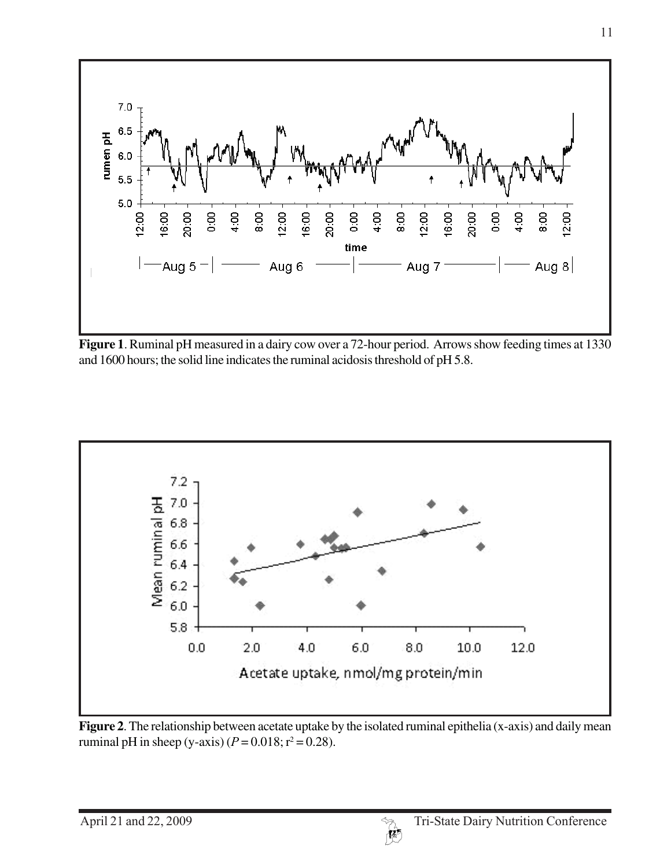

**Figure 1**. Ruminal pH measured in a dairy cow over a 72-hour period. Arrows show feeding times at 1330 and 1600 hours; the solid line indicates the ruminal acidosis threshold of pH 5.8.



**Figure 2**. The relationship between acetate uptake by the isolated ruminal epithelia (x-axis) and daily mean ruminal pH in sheep (y-axis)  $(P = 0.018; r^2 = 0.28)$ .